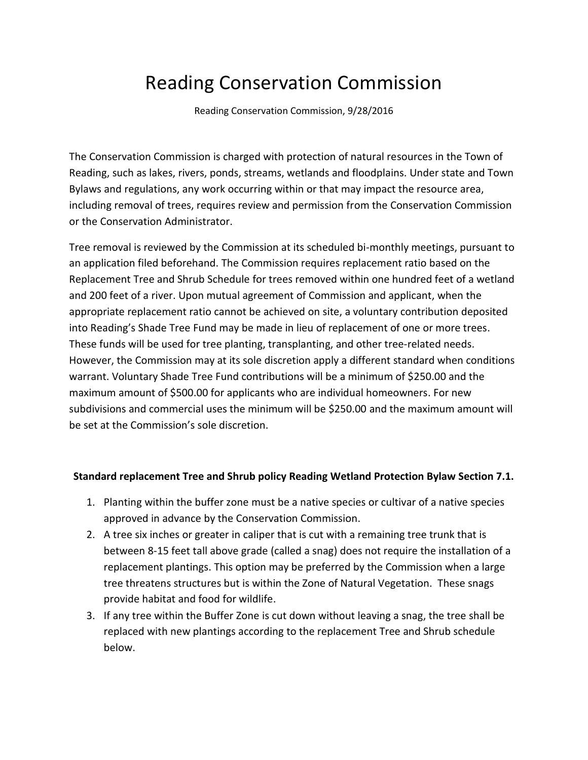# Reading Conservation Commission

Reading Conservation Commission, 9/28/2016

The Conservation Commission is charged with protection of natural resources in the Town of Reading, such as lakes, rivers, ponds, streams, wetlands and floodplains. Under state and Town Bylaws and regulations, any work occurring within or that may impact the resource area, including removal of trees, requires review and permission from the Conservation Commission or the Conservation Administrator.

Tree removal is reviewed by the Commission at its scheduled bi-monthly meetings, pursuant to an application filed beforehand. The Commission requires replacement ratio based on the Replacement Tree and Shrub Schedule for trees removed within one hundred feet of a wetland and 200 feet of a river. Upon mutual agreement of Commission and applicant, when the appropriate replacement ratio cannot be achieved on site, a voluntary contribution deposited into Reading's Shade Tree Fund may be made in lieu of replacement of one or more trees. These funds will be used for tree planting, transplanting, and other tree-related needs. However, the Commission may at its sole discretion apply a different standard when conditions warrant. Voluntary Shade Tree Fund contributions will be a minimum of \$250.00 and the maximum amount of \$500.00 for applicants who are individual homeowners. For new subdivisions and commercial uses the minimum will be \$250.00 and the maximum amount will be set at the Commission's sole discretion.

### **Standard replacement Tree and Shrub policy Reading Wetland Protection Bylaw Section 7.1.**

- 1. Planting within the buffer zone must be a native species or cultivar of a native species approved in advance by the Conservation Commission.
- 2. A tree six inches or greater in caliper that is cut with a remaining tree trunk that is between 8-15 feet tall above grade (called a snag) does not require the installation of a replacement plantings. This option may be preferred by the Commission when a large tree threatens structures but is within the Zone of Natural Vegetation. These snags provide habitat and food for wildlife.
- 3. If any tree within the Buffer Zone is cut down without leaving a snag, the tree shall be replaced with new plantings according to the replacement Tree and Shrub schedule below.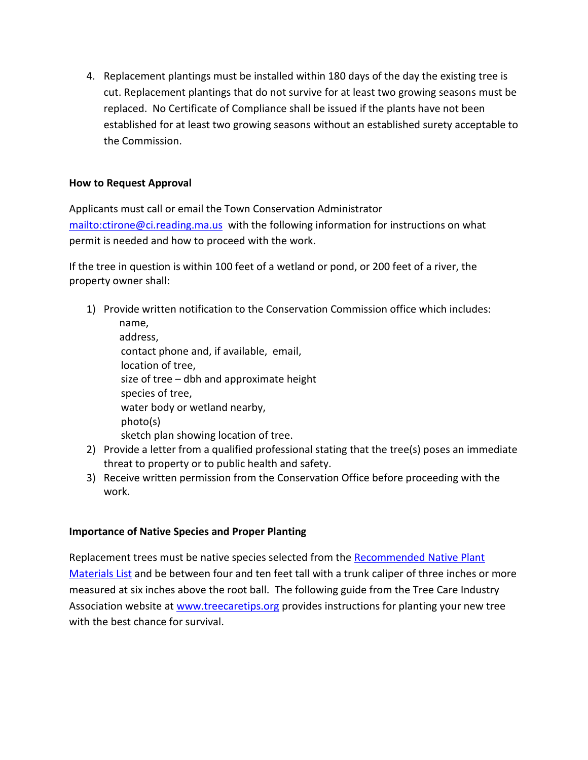4. Replacement plantings must be installed within 180 days of the day the existing tree is cut. Replacement plantings that do not survive for at least two growing seasons must be replaced. No Certificate of Compliance shall be issued if the plants have not been established for at least two growing seasons without an established surety acceptable to the Commission.

# **How to Request Approval**

Applicants must call or email the Town Conservation Administrator <mailto:ctirone@ci.reading.ma.us> with the following information for instructions on what permit is needed and how to proceed with the work.

If the tree in question is within 100 feet of a wetland or pond, or 200 feet of a river, the property owner shall:

- 1) Provide written notification to the Conservation Commission office which includes: name, address, contact phone and, if available, email, location of tree, size of tree – dbh and approximate height species of tree, water body or wetland nearby, photo(s) sketch plan showing location of tree.
- 2) Provide a letter from a qualified professional stating that the tree(s) poses an immediate threat to property or to public health and safety.
- 3) Receive written permission from the Conservation Office before proceeding with the work.

# **Importance of Native Species and Proper Planting**

Replacement trees must be native species selected from the [Recommended Native Plant](http://www.readingma.gov/conservation-commission/files/recommended-native-plant-materials-list)  [Materials List](http://www.readingma.gov/conservation-commission/files/recommended-native-plant-materials-list) and be between four and ten feet tall with a trunk caliper of three inches or more measured at six inches above the root ball. The following guide from the Tree Care Industry Association website at [www.treecaretips.org](http://www.treecaretips.org/) provides instructions for planting your new tree with the best chance for survival.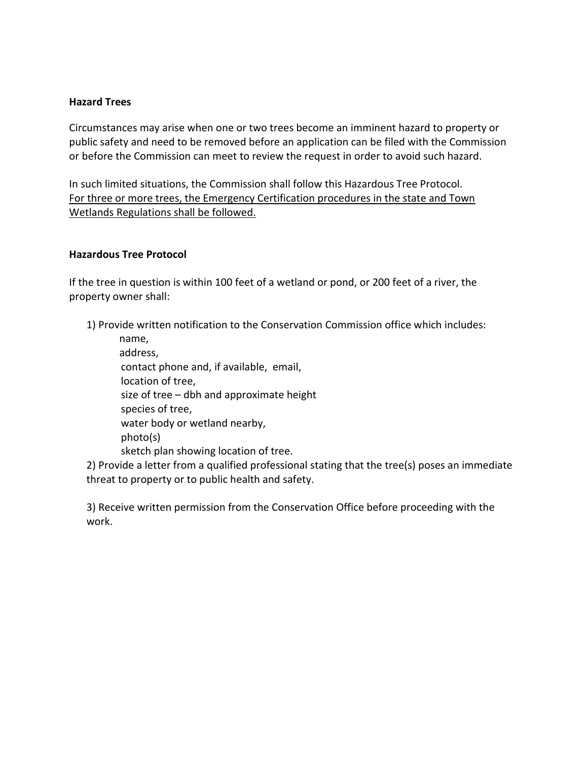### **Hazard Trees**

Circumstances may arise when one or two trees become an imminent hazard to property or public safety and need to be removed before an application can be filed with the Commission or before the Commission can meet to review the request in order to avoid such hazard.

In such limited situations, the Commission shall follow this Hazardous Tree Protocol. For three or more trees, the Emergency Certification procedures in the state and Town Wetlands Regulations shall be followed.

### **Hazardous Tree Protocol**

If the tree in question is within 100 feet of a wetland or pond, or 200 feet of a river, the property owner shall:

1) Provide written notification to the Conservation Commission office which includes:

 name, address, contact phone and, if available, email, location of tree, size of tree – dbh and approximate height species of tree, water body or wetland nearby, photo(s) sketch plan showing location of tree.

2) Provide a letter from a qualified professional stating that the tree(s) poses an immediate threat to property or to public health and safety.

3) Receive written permission from the Conservation Office before proceeding with the work.